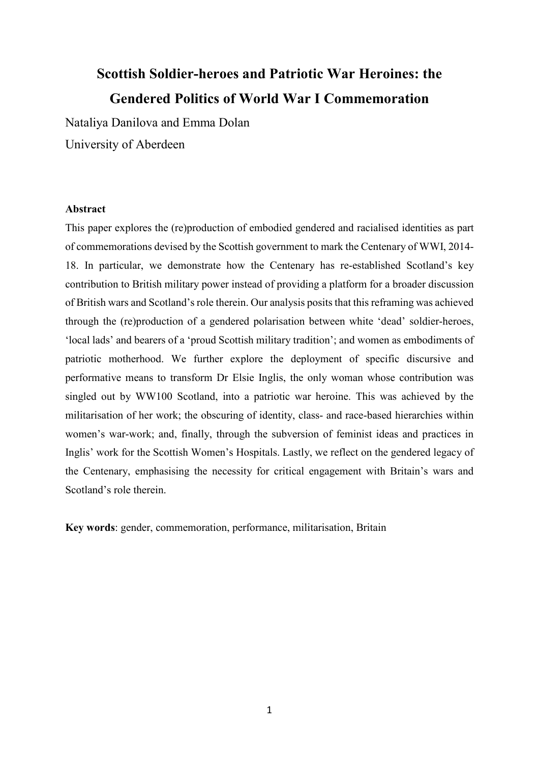# **Scottish Soldier-heroes and Patriotic War Heroines: the Gendered Politics of World War I Commemoration**

Nataliya Danilova and Emma Dolan

University of Aberdeen

# **Abstract**

This paper explores the (re)production of embodied gendered and racialised identities as part of commemorations devised by the Scottish government to mark the Centenary of WWI, 2014- 18. In particular, we demonstrate how the Centenary has re-established Scotland's key contribution to British military power instead of providing a platform for a broader discussion of British wars and Scotland's role therein. Our analysis posits that this reframing was achieved through the (re)production of a gendered polarisation between white 'dead' soldier-heroes, 'local lads' and bearers of a 'proud Scottish military tradition'; and women as embodiments of patriotic motherhood. We further explore the deployment of specific discursive and performative means to transform Dr Elsie Inglis, the only woman whose contribution was singled out by WW100 Scotland, into a patriotic war heroine. This was achieved by the militarisation of her work; the obscuring of identity, class- and race-based hierarchies within women's war-work; and, finally, through the subversion of feminist ideas and practices in Inglis' work for the Scottish Women's Hospitals. Lastly, we reflect on the gendered legacy of the Centenary, emphasising the necessity for critical engagement with Britain's wars and Scotland's role therein.

**Key words**: gender, commemoration, performance, militarisation, Britain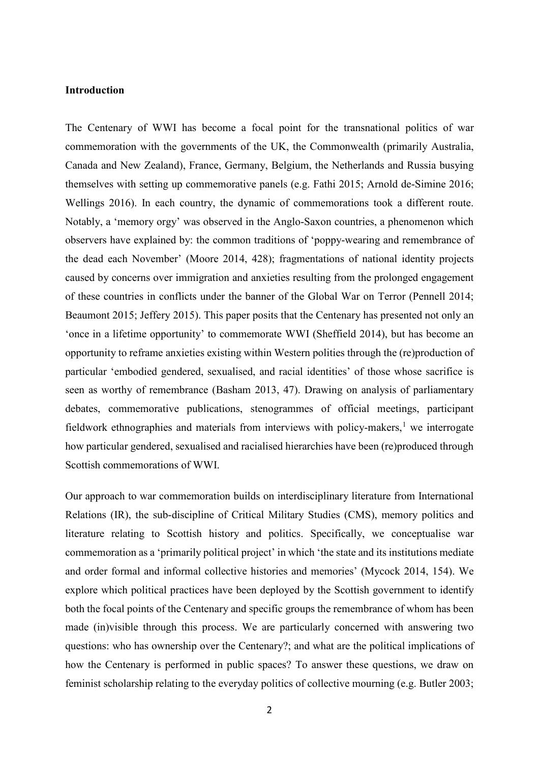## **Introduction**

The Centenary of WWI has become a focal point for the transnational politics of war commemoration with the governments of the UK, the Commonwealth (primarily Australia, Canada and New Zealand), France, Germany, Belgium, the Netherlands and Russia busying themselves with setting up commemorative panels (e.g. Fathi 2015; Arnold de-Simine 2016; Wellings 2016). In each country, the dynamic of commemorations took a different route. Notably, a 'memory orgy' was observed in the Anglo-Saxon countries, a phenomenon which observers have explained by: the common traditions of 'poppy-wearing and remembrance of the dead each November' (Moore 2014, 428); fragmentations of national identity projects caused by concerns over immigration and anxieties resulting from the prolonged engagement of these countries in conflicts under the banner of the Global War on Terror (Pennell 2014; Beaumont 2015; Jeffery 2015). This paper posits that the Centenary has presented not only an 'once in a lifetime opportunity' to commemorate WWI (Sheffield 2014), but has become an opportunity to reframe anxieties existing within Western polities through the (re)production of particular 'embodied gendered, sexualised, and racial identities' of those whose sacrifice is seen as worthy of remembrance (Basham 2013, 47). Drawing on analysis of parliamentary debates, commemorative publications, stenogrammes of official meetings, participant fieldwork ethnographies and materials from interviews with policy-makers,<sup>[1](#page-2-0)</sup> we interrogate how particular gendered, sexualised and racialised hierarchies have been (re)produced through Scottish commemorations of WWI.

Our approach to war commemoration builds on interdisciplinary literature from International Relations (IR), the sub-discipline of Critical Military Studies (CMS), memory politics and literature relating to Scottish history and politics. Specifically, we conceptualise war commemoration as a 'primarily political project' in which 'the state and its institutions mediate and order formal and informal collective histories and memories' (Mycock 2014, 154). We explore which political practices have been deployed by the Scottish government to identify both the focal points of the Centenary and specific groups the remembrance of whom has been made (in)visible through this process. We are particularly concerned with answering two questions: who has ownership over the Centenary?; and what are the political implications of how the Centenary is performed in public spaces? To answer these questions, we draw on feminist scholarship relating to the everyday politics of collective mourning (e.g. Butler 2003;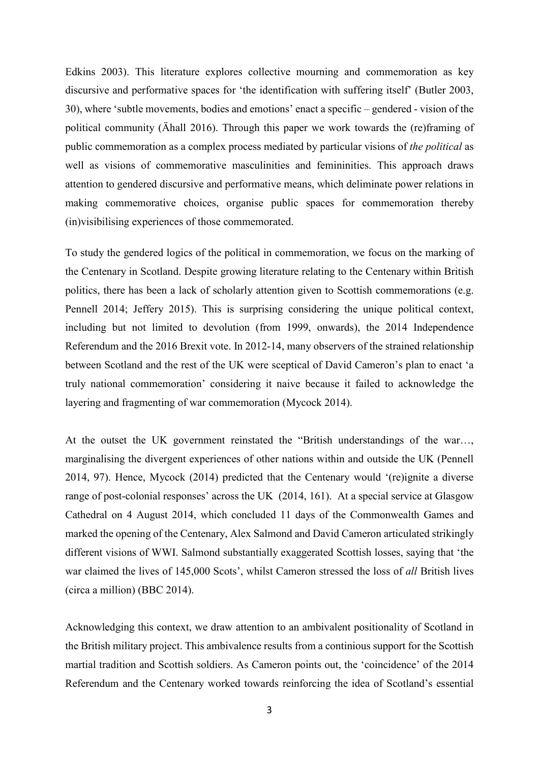Edkins 2003). This literature explores collective mourning and commemoration as key discursive and performative spaces for 'the identification with suffering itself' (Butler 2003, 30), where 'subtle movements, bodies and emotions' enact a specific – gendered - vision of the political community (Ähall 2016). Through this paper we work towards the (re)framing of public commemoration as a complex process mediated by particular visions of *the political* as well as visions of commemorative masculinities and femininities. This approach draws attention to gendered discursive and performative means, which deliminate power relations in making commemorative choices, organise public spaces for commemoration thereby (in)visibilising experiences of those commemorated.

To study the gendered logics of the political in commemoration, we focus on the marking of the Centenary in Scotland. Despite growing literature relating to the Centenary within British politics, there has been a lack of scholarly attention given to Scottish commemorations (e.g. Pennell 2014; Jeffery 2015). This is surprising considering the unique political context, including but not limited to devolution (from 1999, onwards), the 2014 Independence Referendum and the 2016 Brexit vote. In 2012-14, many observers of the strained relationship between Scotland and the rest of the UK were sceptical of David Cameron's plan to enact 'a truly national commemoration' considering it naive because it failed to acknowledge the layering and fragmenting of war commemoration (Mycock 2014).

At the outset the UK government reinstated the "British understandings of the war…, marginalising the divergent experiences of other nations within and outside the UK (Pennell 2014, 97). Hence, Mycock (2014) predicted that the Centenary would '(re)ignite a diverse range of post-colonial responses' across the UK (2014, 161). At a special service at Glasgow Cathedral on 4 August 2014, which concluded 11 days of the Commonwealth Games and marked the opening of the Centenary, Alex Salmond and David Cameron articulated strikingly different visions of WWI. Salmond substantially exaggerated Scottish losses, saying that 'the war claimed the lives of 145,000 Scots', whilst Cameron stressed the loss of *all* British lives (circa a million) (BBC 2014).

<span id="page-2-0"></span>Acknowledging this context, we draw attention to an ambivalent positionality of Scotland in the British military project. This ambivalence results from a continious support for the Scottish martial tradition and Scottish soldiers. As Cameron points out, the 'coincidence' of the 2014 Referendum and the Centenary worked towards reinforcing the idea of Scotland's essential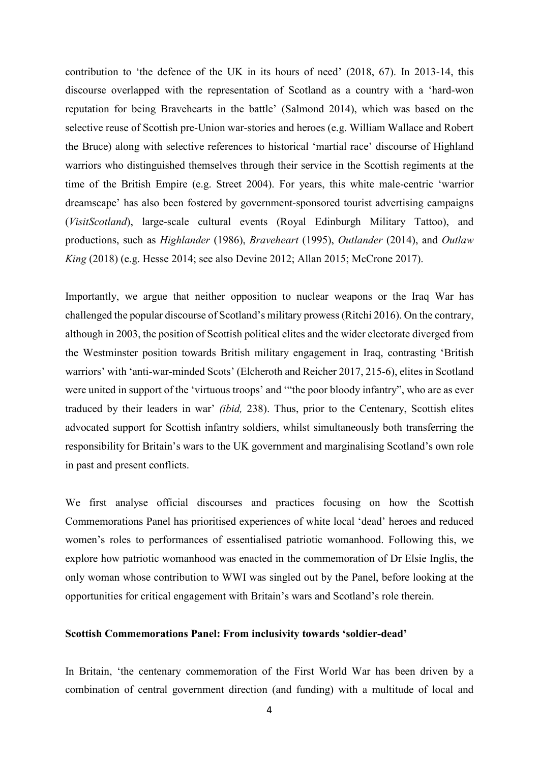contribution to 'the defence of the UK in its hours of need' (2018, 67). In 2013-14, this discourse overlapped with the representation of Scotland as a country with a 'hard-won reputation for being Bravehearts in the battle' (Salmond 2014), which was based on the selective reuse of Scottish pre-Union war-stories and heroes (e.g. William Wallace and Robert the Bruce) along with selective references to historical 'martial race' discourse of Highland warriors who distinguished themselves through their service in the Scottish regiments at the time of the British Empire (e.g. Street 2004). For years, this white male-centric 'warrior dreamscape' has also been fostered by government-sponsored tourist advertising campaigns (*VisitScotland*), large-scale cultural events (Royal Edinburgh Military Tattoo), and productions, such as *Highlander* (1986), *Braveheart* (1995), *Outlander* (2014), and *Outlaw King* (2018) (e.g. Hesse 2014; see also Devine 2012; Allan 2015; McCrone 2017).

Importantly, we argue that neither opposition to nuclear weapons or the Iraq War has challenged the popular discourse of Scotland's military prowess (Ritchi 2016). On the contrary, although in 2003, the position of Scottish political elites and the wider electorate diverged from the Westminster position towards British military engagement in Iraq, contrasting 'British warriors' with 'anti-war-minded Scots' (Elcheroth and Reicher 2017, 215-6), elites in Scotland were united in support of the 'virtuous troops' and '"the poor bloody infantry", who are as ever traduced by their leaders in war' *(ibid,* 238). Thus, prior to the Centenary, Scottish elites advocated support for Scottish infantry soldiers, whilst simultaneously both transferring the responsibility for Britain's wars to the UK government and marginalising Scotland's own role in past and present conflicts.

We first analyse official discourses and practices focusing on how the Scottish Commemorations Panel has prioritised experiences of white local 'dead' heroes and reduced women's roles to performances of essentialised patriotic womanhood. Following this, we explore how patriotic womanhood was enacted in the commemoration of Dr Elsie Inglis, the only woman whose contribution to WWI was singled out by the Panel, before looking at the opportunities for critical engagement with Britain's wars and Scotland's role therein.

#### **Scottish Commemorations Panel: From inclusivity towards 'soldier-dead'**

In Britain, 'the centenary commemoration of the First World War has been driven by a combination of central government direction (and funding) with a multitude of local and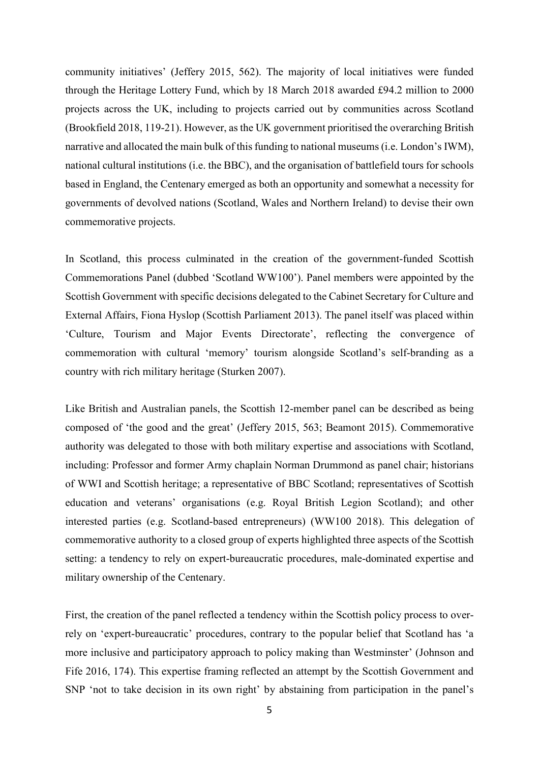community initiatives' (Jeffery 2015, 562). The majority of local initiatives were funded through the Heritage Lottery Fund, which by 18 March 2018 awarded £94.2 million to 2000 projects across the UK, including to projects carried out by communities across Scotland (Brookfield 2018, 119-21). However, as the UK government prioritised the overarching British narrative and allocated the main bulk of this funding to national museums (i.e. London's IWM), national cultural institutions (i.e. the BBC), and the organisation of battlefield tours for schools based in England, the Centenary emerged as both an opportunity and somewhat a necessity for governments of devolved nations (Scotland, Wales and Northern Ireland) to devise their own commemorative projects.

In Scotland, this process culminated in the creation of the government-funded Scottish Commemorations Panel (dubbed 'Scotland WW100'). Panel members were appointed by the Scottish Government with specific decisions delegated to the Cabinet Secretary for Culture and External Affairs, Fiona Hyslop (Scottish Parliament 2013). The panel itself was placed within 'Culture, Tourism and Major Events Directorate', reflecting the convergence of commemoration with cultural 'memory' tourism alongside Scotland's self-branding as a country with rich military heritage (Sturken 2007).

Like British and Australian panels, the Scottish 12-member panel can be described as being composed of 'the good and the great' (Jeffery 2015, 563; Beamont 2015). Commemorative authority was delegated to those with both military expertise and associations with Scotland, including: Professor and former Army chaplain Norman Drummond as panel chair; historians of WWI and Scottish heritage; a representative of BBC Scotland; representatives of Scottish education and veterans' organisations (e.g. Royal British Legion Scotland); and other interested parties (e.g. Scotland-based entrepreneurs) (WW100 2018). This delegation of commemorative authority to a closed group of experts highlighted three aspects of the Scottish setting: a tendency to rely on expert-bureaucratic procedures, male-dominated expertise and military ownership of the Centenary.

First, the creation of the panel reflected a tendency within the Scottish policy process to overrely on 'expert-bureaucratic' procedures, contrary to the popular belief that Scotland has 'a more inclusive and participatory approach to policy making than Westminster' (Johnson and Fife 2016, 174). This expertise framing reflected an attempt by the Scottish Government and SNP 'not to take decision in its own right' by abstaining from participation in the panel's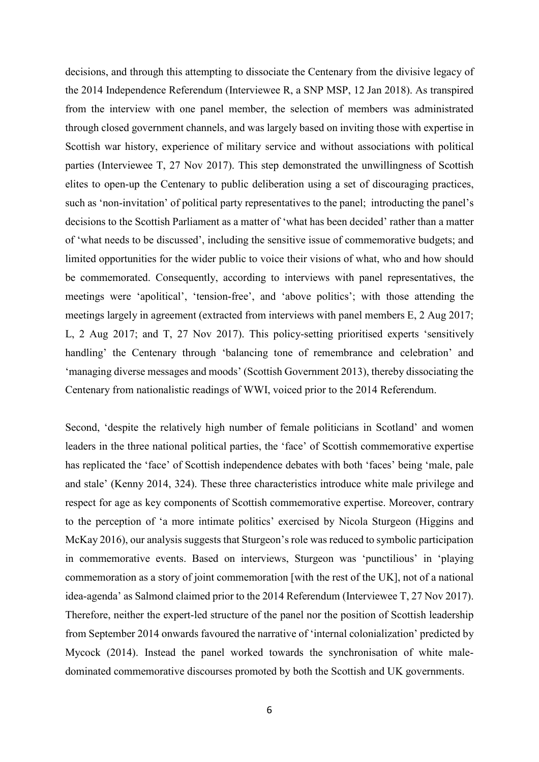decisions, and through this attempting to dissociate the Centenary from the divisive legacy of the 2014 Independence Referendum (Interviewee R, a SNP MSP, 12 Jan 2018). As transpired from the interview with one panel member, the selection of members was administrated through closed government channels, and was largely based on inviting those with expertise in Scottish war history, experience of military service and without associations with political parties (Interviewee T, 27 Nov 2017). This step demonstrated the unwillingness of Scottish elites to open-up the Centenary to public deliberation using a set of discouraging practices, such as 'non-invitation' of political party representatives to the panel; introducting the panel's decisions to the Scottish Parliament as a matter of 'what has been decided' rather than a matter of 'what needs to be discussed', including the sensitive issue of commemorative budgets; and limited opportunities for the wider public to voice their visions of what, who and how should be commemorated. Consequently, according to interviews with panel representatives, the meetings were 'apolitical', 'tension-free', and 'above politics'; with those attending the meetings largely in agreement (extracted from interviews with panel members E, 2 Aug 2017; L, 2 Aug 2017; and T, 27 Nov 2017). This policy-setting prioritised experts 'sensitively handling' the Centenary through 'balancing tone of remembrance and celebration' and 'managing diverse messages and moods' (Scottish Government 2013), thereby dissociating the Centenary from nationalistic readings of WWI, voiced prior to the 2014 Referendum.

Second, 'despite the relatively high number of female politicians in Scotland' and women leaders in the three national political parties, the 'face' of Scottish commemorative expertise has replicated the 'face' of Scottish independence debates with both 'faces' being 'male, pale and stale' (Kenny 2014, 324). These three characteristics introduce white male privilege and respect for age as key components of Scottish commemorative expertise. Moreover, contrary to the perception of 'a more intimate politics' exercised by Nicola Sturgeon (Higgins and McKay 2016), our analysis suggests that Sturgeon's role was reduced to symbolic participation in commemorative events. Based on interviews, Sturgeon was 'punctilious' in 'playing commemoration as a story of joint commemoration [with the rest of the UK], not of a national idea-agenda' as Salmond claimed prior to the 2014 Referendum (Interviewee T, 27 Nov 2017). Therefore, neither the expert-led structure of the panel nor the position of Scottish leadership from September 2014 onwards favoured the narrative of 'internal colonialization' predicted by Mycock (2014). Instead the panel worked towards the synchronisation of white maledominated commemorative discourses promoted by both the Scottish and UK governments.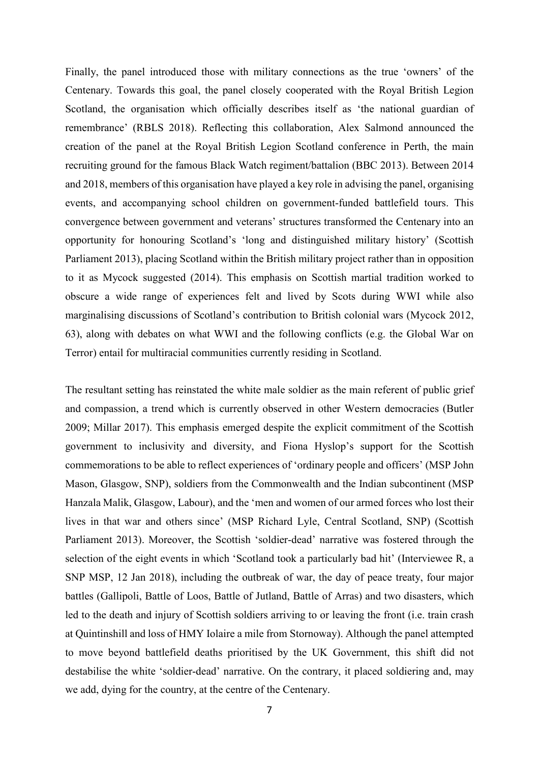Finally, the panel introduced those with military connections as the true 'owners' of the Centenary. Towards this goal, the panel closely cooperated with the Royal British Legion Scotland, the organisation which officially describes itself as 'the national guardian of remembrance' (RBLS 2018). Reflecting this collaboration, Alex Salmond announced the creation of the panel at the Royal British Legion Scotland conference in Perth, the main recruiting ground for the famous Black Watch regiment/battalion (BBC 2013). Between 2014 and 2018, members of this organisation have played a key role in advising the panel, organising events, and accompanying school children on government-funded battlefield tours. This convergence between government and veterans' structures transformed the Centenary into an opportunity for honouring Scotland's 'long and distinguished military history' (Scottish Parliament 2013), placing Scotland within the British military project rather than in opposition to it as Mycock suggested (2014). This emphasis on Scottish martial tradition worked to obscure a wide range of experiences felt and lived by Scots during WWI while also marginalising discussions of Scotland's contribution to British colonial wars (Mycock 2012, 63), along with debates on what WWI and the following conflicts (e.g. the Global War on Terror) entail for multiracial communities currently residing in Scotland.

The resultant setting has reinstated the white male soldier as the main referent of public grief and compassion, a trend which is currently observed in other Western democracies (Butler 2009; Millar 2017). This emphasis emerged despite the explicit commitment of the Scottish government to inclusivity and diversity, and Fiona Hyslop's support for the Scottish commemorations to be able to reflect experiences of 'ordinary people and officers' (MSP John Mason, Glasgow, SNP), soldiers from the Commonwealth and the Indian subcontinent (MSP Hanzala Malik, Glasgow, Labour), and the 'men and women of our armed forces who lost their lives in that war and others since' (MSP Richard Lyle, Central Scotland, SNP) (Scottish Parliament 2013). Moreover, the Scottish 'soldier-dead' narrative was fostered through the selection of the eight events in which 'Scotland took a particularly bad hit' (Interviewee R, a SNP MSP, 12 Jan 2018), including the outbreak of war, the day of peace treaty, four major battles (Gallipoli, Battle of Loos, Battle of Jutland, Battle of Arras) and two disasters, which led to the death and injury of Scottish soldiers arriving to or leaving the front (i.e. train crash at Quintinshill and loss of HMY Iolaire a mile from Stornoway). Although the panel attempted to move beyond battlefield deaths prioritised by the UK Government, this shift did not destabilise the white 'soldier-dead' narrative. On the contrary, it placed soldiering and, may we add, dying for the country, at the centre of the Centenary.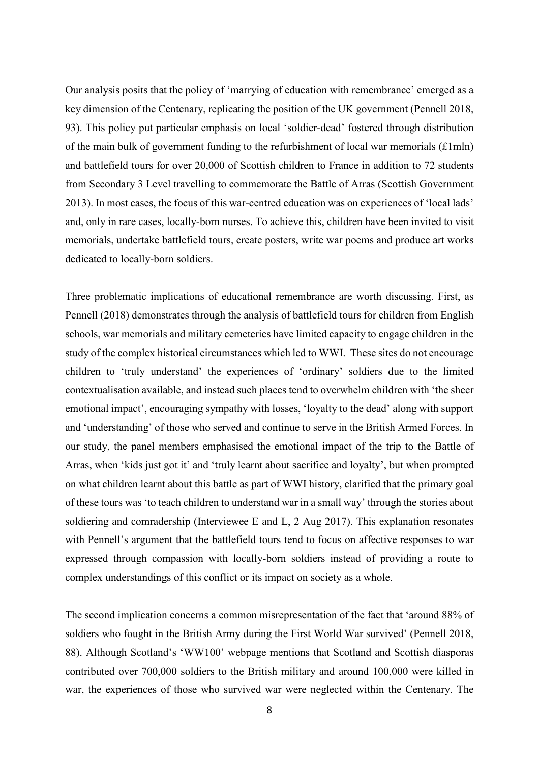Our analysis posits that the policy of 'marrying of education with remembrance' emerged as a key dimension of the Centenary, replicating the position of the UK government (Pennell 2018, 93). This policy put particular emphasis on local 'soldier-dead' fostered through distribution of the main bulk of government funding to the refurbishment of local war memorials (£1mln) and battlefield tours for over 20,000 of Scottish children to France in addition to 72 students from Secondary 3 Level travelling to commemorate the Battle of Arras (Scottish Government 2013). In most cases, the focus of this war-centred education was on experiences of 'local lads' and, only in rare cases, locally-born nurses. To achieve this, children have been invited to visit memorials, undertake battlefield tours, create posters, write war poems and produce art works dedicated to locally-born soldiers.

Three problematic implications of educational remembrance are worth discussing. First, as Pennell (2018) demonstrates through the analysis of battlefield tours for children from English schools, war memorials and military cemeteries have limited capacity to engage children in the study of the complex historical circumstances which led to WWI. These sites do not encourage children to 'truly understand' the experiences of 'ordinary' soldiers due to the limited contextualisation available, and instead such places tend to overwhelm children with 'the sheer emotional impact', encouraging sympathy with losses, 'loyalty to the dead' along with support and 'understanding' of those who served and continue to serve in the British Armed Forces. In our study, the panel members emphasised the emotional impact of the trip to the Battle of Arras, when 'kids just got it' and 'truly learnt about sacrifice and loyalty', but when prompted on what children learnt about this battle as part of WWI history, clarified that the primary goal of these tours was 'to teach children to understand war in a small way' through the stories about soldiering and comradership (Interviewee E and L, 2 Aug 2017). This explanation resonates with Pennell's argument that the battlefield tours tend to focus on affective responses to war expressed through compassion with locally-born soldiers instead of providing a route to complex understandings of this conflict or its impact on society as a whole.

The second implication concerns a common misrepresentation of the fact that 'around 88% of soldiers who fought in the British Army during the First World War survived' (Pennell 2018, 88). Although Scotland's 'WW100' webpage mentions that Scotland and Scottish diasporas contributed over 700,000 soldiers to the British military and around 100,000 were killed in war, the experiences of those who survived war were neglected within the Centenary. The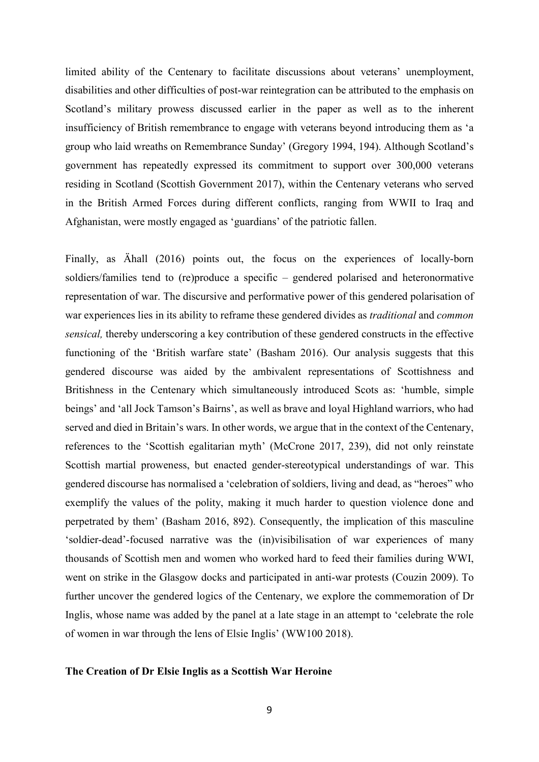limited ability of the Centenary to facilitate discussions about veterans' unemployment, disabilities and other difficulties of post-war reintegration can be attributed to the emphasis on Scotland's military prowess discussed earlier in the paper as well as to the inherent insufficiency of British remembrance to engage with veterans beyond introducing them as 'a group who laid wreaths on Remembrance Sunday' (Gregory 1994, 194). Although Scotland's government has repeatedly expressed its commitment to support over 300,000 veterans residing in Scotland (Scottish Government 2017), within the Centenary veterans who served in the British Armed Forces during different conflicts, ranging from WWII to Iraq and Afghanistan, were mostly engaged as 'guardians' of the patriotic fallen.

Finally, as Ähall (2016) points out, the focus on the experiences of locally-born soldiers/families tend to (re)produce a specific – gendered polarised and heteronormative representation of war. The discursive and performative power of this gendered polarisation of war experiences lies in its ability to reframe these gendered divides as *traditional* and *common sensical,* thereby underscoring a key contribution of these gendered constructs in the effective functioning of the 'British warfare state' (Basham 2016). Our analysis suggests that this gendered discourse was aided by the ambivalent representations of Scottishness and Britishness in the Centenary which simultaneously introduced Scots as: 'humble, simple beings' and 'all Jock Tamson's Bairns', as well as brave and loyal Highland warriors, who had served and died in Britain's wars. In other words, we argue that in the context of the Centenary, references to the 'Scottish egalitarian myth' (McCrone 2017, 239), did not only reinstate Scottish martial proweness, but enacted gender-stereotypical understandings of war. This gendered discourse has normalised a 'celebration of soldiers, living and dead, as "heroes" who exemplify the values of the polity, making it much harder to question violence done and perpetrated by them' (Basham 2016, 892). Consequently, the implication of this masculine 'soldier-dead'-focused narrative was the (in)visibilisation of war experiences of many thousands of Scottish men and women who worked hard to feed their families during WWI, went on strike in the Glasgow docks and participated in anti-war protests (Couzin 2009). To further uncover the gendered logics of the Centenary, we explore the commemoration of Dr Inglis, whose name was added by the panel at a late stage in an attempt to 'celebrate the role of women in war through the lens of Elsie Inglis' (WW100 2018).

## **The Creation of Dr Elsie Inglis as a Scottish War Heroine**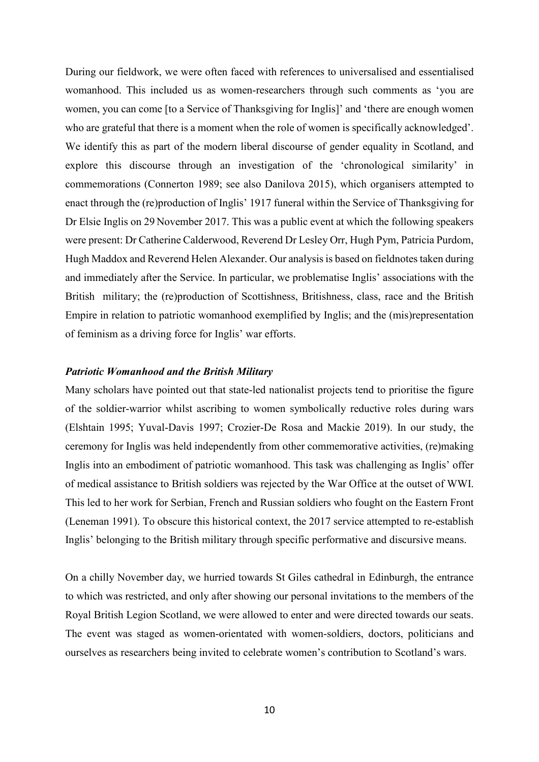During our fieldwork, we were often faced with references to universalised and essentialised womanhood. This included us as women-researchers through such comments as 'you are women, you can come [to a Service of Thanksgiving for Inglis]' and 'there are enough women who are grateful that there is a moment when the role of women is specifically acknowledged'. We identify this as part of the modern liberal discourse of gender equality in Scotland, and explore this discourse through an investigation of the 'chronological similarity' in commemorations (Connerton 1989; see also Danilova 2015), which organisers attempted to enact through the (re)production of Inglis' 1917 funeral within the Service of Thanksgiving for Dr Elsie Inglis on 29 November 2017. This was a public event at which the following speakers were present: Dr Catherine Calderwood, Reverend Dr Lesley Orr, Hugh Pym, Patricia Purdom, Hugh Maddox and Reverend Helen Alexander. Our analysis is based on fieldnotes taken during and immediately after the Service. In particular, we problematise Inglis' associations with the British military; the (re)production of Scottishness, Britishness, class, race and the British Empire in relation to patriotic womanhood exemplified by Inglis; and the (mis)representation of feminism as a driving force for Inglis' war efforts.

# *Patriotic Womanhood and the British Military*

Many scholars have pointed out that state-led nationalist projects tend to prioritise the figure of the soldier-warrior whilst ascribing to women symbolically reductive roles during wars (Elshtain 1995; Yuval-Davis 1997; Crozier-De Rosa and Mackie 2019). In our study, the ceremony for Inglis was held independently from other commemorative activities, (re)making Inglis into an embodiment of patriotic womanhood. This task was challenging as Inglis' offer of medical assistance to British soldiers was rejected by the War Office at the outset of WWI. This led to her work for Serbian, French and Russian soldiers who fought on the Eastern Front (Leneman 1991). To obscure this historical context, the 2017 service attempted to re-establish Inglis' belonging to the British military through specific performative and discursive means.

On a chilly November day, we hurried towards St Giles cathedral in Edinburgh, the entrance to which was restricted, and only after showing our personal invitations to the members of the Royal British Legion Scotland, we were allowed to enter and were directed towards our seats. The event was staged as women-orientated with women-soldiers, doctors, politicians and ourselves as researchers being invited to celebrate women's contribution to Scotland's wars.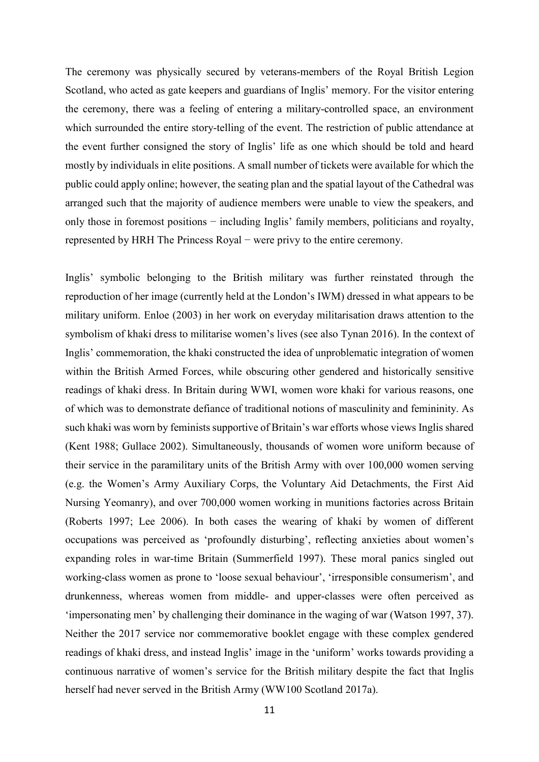The ceremony was physically secured by veterans-members of the Royal British Legion Scotland, who acted as gate keepers and guardians of Inglis' memory. For the visitor entering the ceremony, there was a feeling of entering a military-controlled space, an environment which surrounded the entire story-telling of the event. The restriction of public attendance at the event further consigned the story of Inglis' life as one which should be told and heard mostly by individuals in elite positions. A small number of tickets were available for which the public could apply online; however, the seating plan and the spatial layout of the Cathedral was arranged such that the majority of audience members were unable to view the speakers, and only those in foremost positions − including Inglis' family members, politicians and royalty, represented by HRH The Princess Royal − were privy to the entire ceremony.

Inglis' symbolic belonging to the British military was further reinstated through the reproduction of her image (currently held at the London's IWM) dressed in what appears to be military uniform. Enloe (2003) in her work on everyday militarisation draws attention to the symbolism of khaki dress to militarise women's lives (see also Tynan 2016). In the context of Inglis' commemoration, the khaki constructed the idea of unproblematic integration of women within the British Armed Forces, while obscuring other gendered and historically sensitive readings of khaki dress. In Britain during WWI, women wore khaki for various reasons, one of which was to demonstrate defiance of traditional notions of masculinity and femininity. As such khaki was worn by feminists supportive of Britain's war efforts whose views Inglis shared (Kent 1988; Gullace 2002). Simultaneously, thousands of women wore uniform because of their service in the paramilitary units of the British Army with over 100,000 women serving (e.g. the Women's Army Auxiliary Corps, the Voluntary Aid Detachments, the First Aid Nursing Yeomanry), and over 700,000 women working in munitions factories across Britain (Roberts 1997; Lee 2006). In both cases the wearing of khaki by women of different occupations was perceived as 'profoundly disturbing', reflecting anxieties about women's expanding roles in war-time Britain (Summerfield 1997). These moral panics singled out working-class women as prone to 'loose sexual behaviour', 'irresponsible consumerism', and drunkenness, whereas women from middle- and upper-classes were often perceived as 'impersonating men' by challenging their dominance in the waging of war (Watson 1997, 37). Neither the 2017 service nor commemorative booklet engage with these complex gendered readings of khaki dress, and instead Inglis' image in the 'uniform' works towards providing a continuous narrative of women's service for the British military despite the fact that Inglis herself had never served in the British Army (WW100 Scotland 2017a).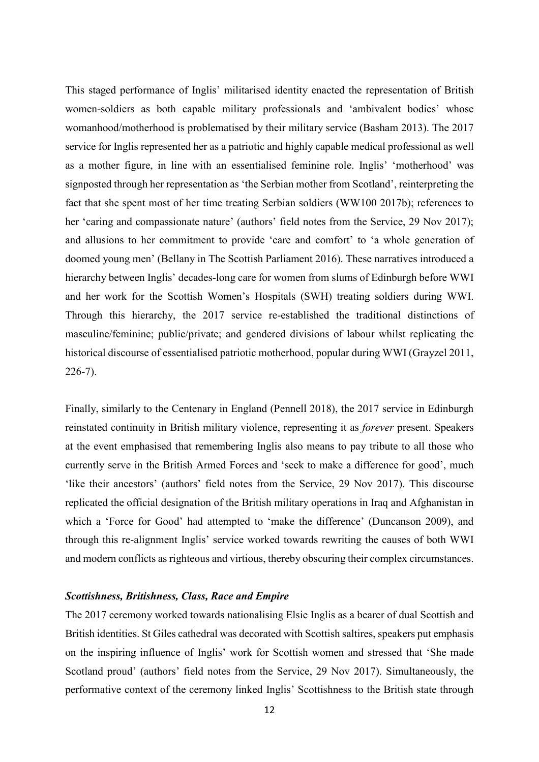This staged performance of Inglis' militarised identity enacted the representation of British women-soldiers as both capable military professionals and 'ambivalent bodies' whose womanhood/motherhood is problematised by their military service (Basham 2013). The 2017 service for Inglis represented her as a patriotic and highly capable medical professional as well as a mother figure, in line with an essentialised feminine role. Inglis' 'motherhood' was signposted through her representation as 'the Serbian mother from Scotland', reinterpreting the fact that she spent most of her time treating Serbian soldiers (WW100 2017b); references to her 'caring and compassionate nature' (authors' field notes from the Service, 29 Nov 2017); and allusions to her commitment to provide 'care and comfort' to 'a whole generation of doomed young men' (Bellany in The Scottish Parliament 2016). These narratives introduced a hierarchy between Inglis' decades-long care for women from slums of Edinburgh before WWI and her work for the Scottish Women's Hospitals (SWH) treating soldiers during WWI. Through this hierarchy, the 2017 service re-established the traditional distinctions of masculine/feminine; public/private; and gendered divisions of labour whilst replicating the historical discourse of essentialised patriotic motherhood, popular during WWI (Grayzel 2011, 226-7).

Finally, similarly to the Centenary in England (Pennell 2018), the 2017 service in Edinburgh reinstated continuity in British military violence, representing it as *forever* present. Speakers at the event emphasised that remembering Inglis also means to pay tribute to all those who currently serve in the British Armed Forces and 'seek to make a difference for good', much 'like their ancestors' (authors' field notes from the Service, 29 Nov 2017). This discourse replicated the official designation of the British military operations in Iraq and Afghanistan in which a 'Force for Good' had attempted to 'make the difference' (Duncanson 2009), and through this re-alignment Inglis' service worked towards rewriting the causes of both WWI and modern conflicts as righteous and virtious, thereby obscuring their complex circumstances.

# *Scottishness, Britishness, Class, Race and Empire*

The 2017 ceremony worked towards nationalising Elsie Inglis as a bearer of dual Scottish and British identities. St Giles cathedral was decorated with Scottish saltires, speakers put emphasis on the inspiring influence of Inglis' work for Scottish women and stressed that 'She made Scotland proud' (authors' field notes from the Service, 29 Nov 2017). Simultaneously, the performative context of the ceremony linked Inglis' Scottishness to the British state through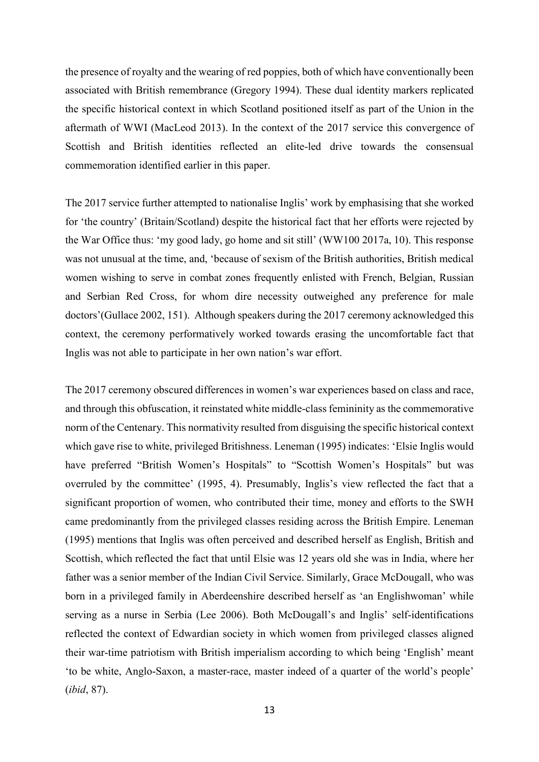the presence of royalty and the wearing of red poppies, both of which have conventionally been associated with British remembrance (Gregory 1994). These dual identity markers replicated the specific historical context in which Scotland positioned itself as part of the Union in the aftermath of WWI (MacLeod 2013). In the context of the 2017 service this convergence of Scottish and British identities reflected an elite-led drive towards the consensual commemoration identified earlier in this paper.

The 2017 service further attempted to nationalise Inglis' work by emphasising that she worked for 'the country' (Britain/Scotland) despite the historical fact that her efforts were rejected by the War Office thus: 'my good lady, go home and sit still' (WW100 2017a, 10). This response was not unusual at the time, and, 'because of sexism of the British authorities, British medical women wishing to serve in combat zones frequently enlisted with French, Belgian, Russian and Serbian Red Cross, for whom dire necessity outweighed any preference for male doctors'(Gullace 2002, 151). Although speakers during the 2017 ceremony acknowledged this context, the ceremony performatively worked towards erasing the uncomfortable fact that Inglis was not able to participate in her own nation's war effort.

The 2017 ceremony obscured differences in women's war experiences based on class and race, and through this obfuscation, it reinstated white middle-class femininity as the commemorative norm of the Centenary. This normativity resulted from disguising the specific historical context which gave rise to white, privileged Britishness. Leneman (1995) indicates: 'Elsie Inglis would have preferred "British Women's Hospitals" to "Scottish Women's Hospitals" but was overruled by the committee' (1995, 4). Presumably, Inglis's view reflected the fact that a significant proportion of women, who contributed their time, money and efforts to the SWH came predominantly from the privileged classes residing across the British Empire. Leneman (1995) mentions that Inglis was often perceived and described herself as English, British and Scottish, which reflected the fact that until Elsie was 12 years old she was in India, where her father was a senior member of the Indian Civil Service. Similarly, Grace McDougall, who was born in a privileged family in Aberdeenshire described herself as 'an Englishwoman' while serving as a nurse in Serbia (Lee 2006). Both McDougall's and Inglis' self-identifications reflected the context of Edwardian society in which women from privileged classes aligned their war-time patriotism with British imperialism according to which being 'English' meant 'to be white, Anglo-Saxon, a master-race, master indeed of a quarter of the world's people' (*ibid*, 87).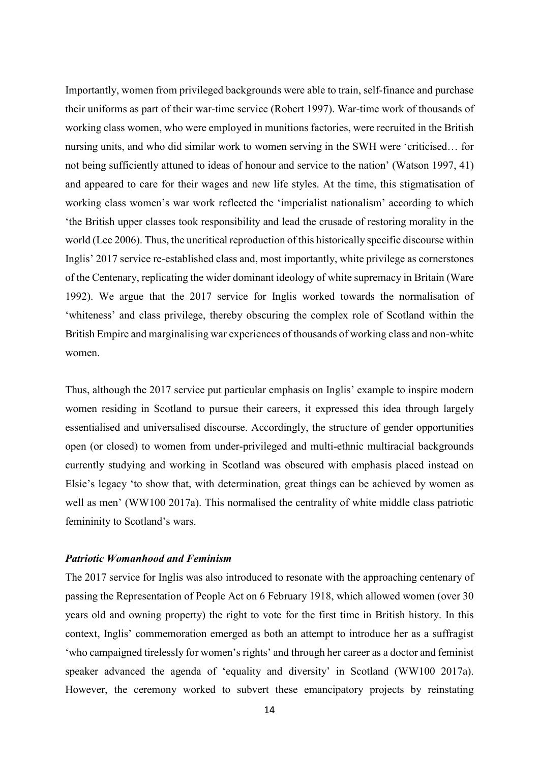Importantly, women from privileged backgrounds were able to train, self-finance and purchase their uniforms as part of their war-time service (Robert 1997). War-time work of thousands of working class women, who were employed in munitions factories, were recruited in the British nursing units, and who did similar work to women serving in the SWH were 'criticised… for not being sufficiently attuned to ideas of honour and service to the nation' (Watson 1997, 41) and appeared to care for their wages and new life styles. At the time, this stigmatisation of working class women's war work reflected the 'imperialist nationalism' according to which 'the British upper classes took responsibility and lead the crusade of restoring morality in the world (Lee 2006). Thus, the uncritical reproduction of this historically specific discourse within Inglis' 2017 service re-established class and, most importantly, white privilege as cornerstones of the Centenary, replicating the wider dominant ideology of white supremacy in Britain (Ware 1992). We argue that the 2017 service for Inglis worked towards the normalisation of 'whiteness' and class privilege, thereby obscuring the complex role of Scotland within the British Empire and marginalising war experiences of thousands of working class and non-white women.

Thus, although the 2017 service put particular emphasis on Inglis' example to inspire modern women residing in Scotland to pursue their careers, it expressed this idea through largely essentialised and universalised discourse. Accordingly, the structure of gender opportunities open (or closed) to women from under-privileged and multi-ethnic multiracial backgrounds currently studying and working in Scotland was obscured with emphasis placed instead on Elsie's legacy 'to show that, with determination, great things can be achieved by women as well as men' (WW100 2017a). This normalised the centrality of white middle class patriotic femininity to Scotland's wars.

# *Patriotic Womanhood and Feminism*

The 2017 service for Inglis was also introduced to resonate with the approaching centenary of passing the Representation of People Act on 6 February 1918, which allowed women (over 30 years old and owning property) the right to vote for the first time in British history. In this context, Inglis' commemoration emerged as both an attempt to introduce her as a suffragist 'who campaigned tirelessly for women's rights' and through her career as a doctor and feminist speaker advanced the agenda of 'equality and diversity' in Scotland (WW100 2017a). However, the ceremony worked to subvert these emancipatory projects by reinstating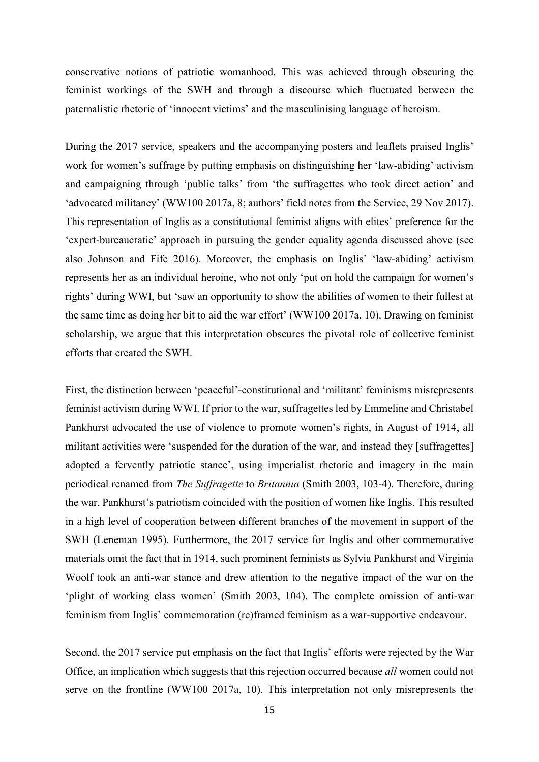conservative notions of patriotic womanhood. This was achieved through obscuring the feminist workings of the SWH and through a discourse which fluctuated between the paternalistic rhetoric of 'innocent victims' and the masculinising language of heroism.

During the 2017 service, speakers and the accompanying posters and leaflets praised Inglis' work for women's suffrage by putting emphasis on distinguishing her 'law-abiding' activism and campaigning through 'public talks' from 'the suffragettes who took direct action' and 'advocated militancy' (WW100 2017a, 8; authors' field notes from the Service, 29 Nov 2017). This representation of Inglis as a constitutional feminist aligns with elites' preference for the 'expert-bureaucratic' approach in pursuing the gender equality agenda discussed above (see also Johnson and Fife 2016). Moreover, the emphasis on Inglis' 'law-abiding' activism represents her as an individual heroine, who not only 'put on hold the campaign for women's rights' during WWI, but 'saw an opportunity to show the abilities of women to their fullest at the same time as doing her bit to aid the war effort' (WW100 2017a, 10). Drawing on feminist scholarship, we argue that this interpretation obscures the pivotal role of collective feminist efforts that created the SWH.

First, the distinction between 'peaceful'-constitutional and 'militant' feminisms misrepresents feminist activism during WWI. If prior to the war, suffragettes led by Emmeline and Christabel Pankhurst advocated the use of violence to promote women's rights, in August of 1914, all militant activities were 'suspended for the duration of the war, and instead they [suffragettes] adopted a fervently patriotic stance', using imperialist rhetoric and imagery in the main periodical renamed from *The Suffragette* to *Britannia* (Smith 2003, 103-4). Therefore, during the war, Pankhurst's patriotism coincided with the position of women like Inglis. This resulted in a high level of cooperation between different branches of the movement in support of the SWH (Leneman 1995). Furthermore, the 2017 service for Inglis and other commemorative materials omit the fact that in 1914, such prominent feminists as Sylvia Pankhurst and Virginia Woolf took an anti-war stance and drew attention to the negative impact of the war on the 'plight of working class women' (Smith 2003, 104). The complete omission of anti-war feminism from Inglis' commemoration (re)framed feminism as a war-supportive endeavour.

Second, the 2017 service put emphasis on the fact that Inglis' efforts were rejected by the War Office, an implication which suggests that this rejection occurred because *all* women could not serve on the frontline (WW100 2017a, 10). This interpretation not only misrepresents the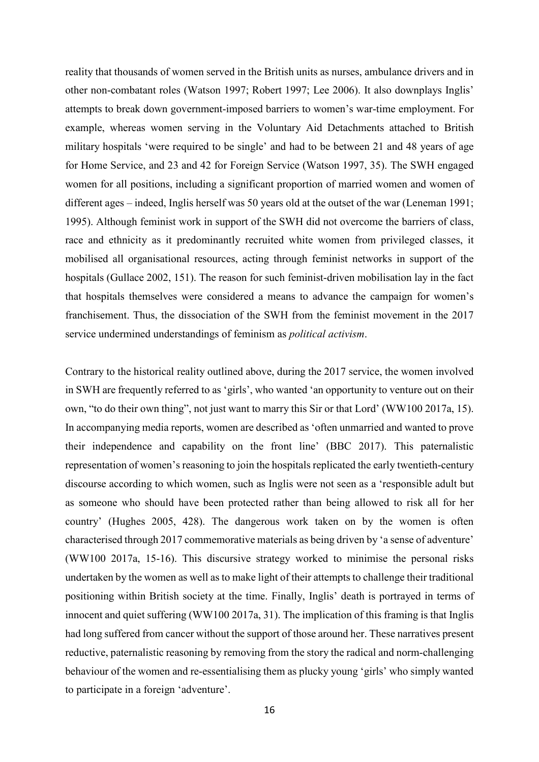reality that thousands of women served in the British units as nurses, ambulance drivers and in other non-combatant roles (Watson 1997; Robert 1997; Lee 2006). It also downplays Inglis' attempts to break down government-imposed barriers to women's war-time employment. For example, whereas women serving in the Voluntary Aid Detachments attached to British military hospitals 'were required to be single' and had to be between 21 and 48 years of age for Home Service, and 23 and 42 for Foreign Service (Watson 1997, 35). The SWH engaged women for all positions, including a significant proportion of married women and women of different ages – indeed, Inglis herself was 50 years old at the outset of the war (Leneman 1991; 1995). Although feminist work in support of the SWH did not overcome the barriers of class, race and ethnicity as it predominantly recruited white women from privileged classes, it mobilised all organisational resources, acting through feminist networks in support of the hospitals (Gullace 2002, 151). The reason for such feminist-driven mobilisation lay in the fact that hospitals themselves were considered a means to advance the campaign for women's franchisement. Thus, the dissociation of the SWH from the feminist movement in the 2017 service undermined understandings of feminism as *political activism*.

Contrary to the historical reality outlined above, during the 2017 service, the women involved in SWH are frequently referred to as 'girls', who wanted 'an opportunity to venture out on their own, "to do their own thing", not just want to marry this Sir or that Lord' (WW100 2017a, 15). In accompanying media reports, women are described as 'often unmarried and wanted to prove their independence and capability on the front line' (BBC 2017). This paternalistic representation of women's reasoning to join the hospitals replicated the early twentieth-century discourse according to which women, such as Inglis were not seen as a 'responsible adult but as someone who should have been protected rather than being allowed to risk all for her country' (Hughes 2005, 428). The dangerous work taken on by the women is often characterised through 2017 commemorative materials as being driven by 'a sense of adventure' (WW100 2017a, 15-16). This discursive strategy worked to minimise the personal risks undertaken by the women as well as to make light of their attempts to challenge their traditional positioning within British society at the time. Finally, Inglis' death is portrayed in terms of innocent and quiet suffering (WW100 2017a, 31). The implication of this framing is that Inglis had long suffered from cancer without the support of those around her. These narratives present reductive, paternalistic reasoning by removing from the story the radical and norm-challenging behaviour of the women and re-essentialising them as plucky young 'girls' who simply wanted to participate in a foreign 'adventure'.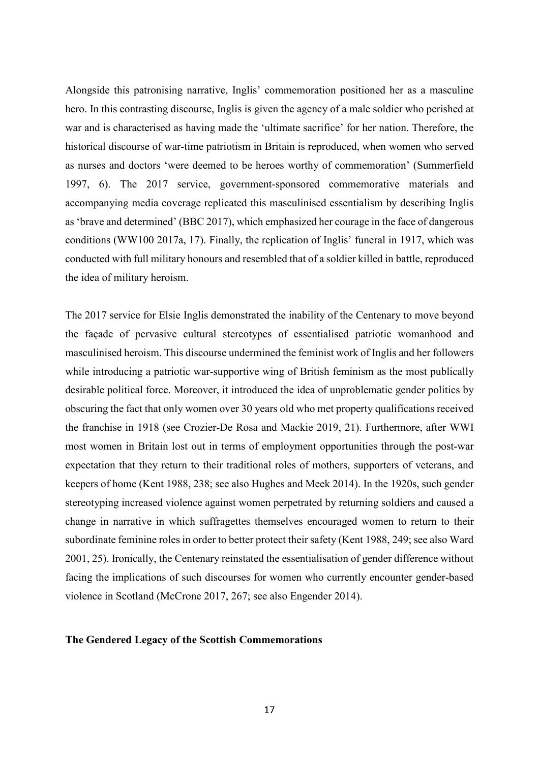Alongside this patronising narrative, Inglis' commemoration positioned her as a masculine hero. In this contrasting discourse, Inglis is given the agency of a male soldier who perished at war and is characterised as having made the 'ultimate sacrifice' for her nation. Therefore, the historical discourse of war-time patriotism in Britain is reproduced, when women who served as nurses and doctors 'were deemed to be heroes worthy of commemoration' (Summerfield 1997, 6). The 2017 service, government-sponsored commemorative materials and accompanying media coverage replicated this masculinised essentialism by describing Inglis as 'brave and determined' (BBC 2017), which emphasized her courage in the face of dangerous conditions (WW100 2017a, 17). Finally, the replication of Inglis' funeral in 1917, which was conducted with full military honours and resembled that of a soldier killed in battle, reproduced the idea of military heroism.

The 2017 service for Elsie Inglis demonstrated the inability of the Centenary to move beyond the façade of pervasive cultural stereotypes of essentialised patriotic womanhood and masculinised heroism. This discourse undermined the feminist work of Inglis and her followers while introducing a patriotic war-supportive wing of British feminism as the most publically desirable political force. Moreover, it introduced the idea of unproblematic gender politics by obscuring the fact that only women over 30 years old who met property qualifications received the franchise in 1918 (see Crozier-De Rosa and Mackie 2019, 21). Furthermore, after WWI most women in Britain lost out in terms of employment opportunities through the post-war expectation that they return to their traditional roles of mothers, supporters of veterans, and keepers of home (Kent 1988, 238; see also Hughes and Meek 2014). In the 1920s, such gender stereotyping increased violence against women perpetrated by returning soldiers and caused a change in narrative in which suffragettes themselves encouraged women to return to their subordinate feminine roles in order to better protect their safety (Kent 1988, 249; see also Ward 2001, 25). Ironically, the Centenary reinstated the essentialisation of gender difference without facing the implications of such discourses for women who currently encounter gender-based violence in Scotland (McCrone 2017, 267; see also Engender 2014).

#### **The Gendered Legacy of the Scottish Commemorations**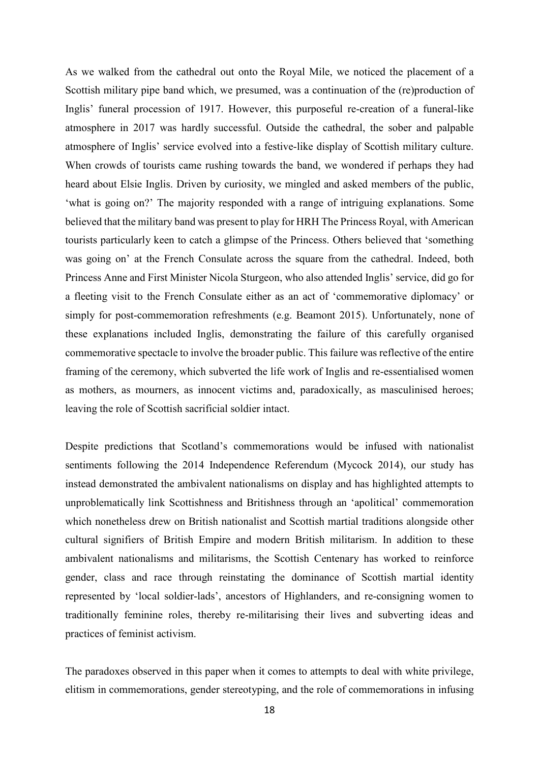As we walked from the cathedral out onto the Royal Mile, we noticed the placement of a Scottish military pipe band which, we presumed, was a continuation of the (re)production of Inglis' funeral procession of 1917. However, this purposeful re-creation of a funeral-like atmosphere in 2017 was hardly successful. Outside the cathedral, the sober and palpable atmosphere of Inglis' service evolved into a festive-like display of Scottish military culture. When crowds of tourists came rushing towards the band, we wondered if perhaps they had heard about Elsie Inglis. Driven by curiosity, we mingled and asked members of the public, 'what is going on?' The majority responded with a range of intriguing explanations. Some believed that the military band was present to play for HRH The Princess Royal, with American tourists particularly keen to catch a glimpse of the Princess. Others believed that 'something was going on' at the French Consulate across the square from the cathedral. Indeed, both Princess Anne and First Minister Nicola Sturgeon, who also attended Inglis' service, did go for a fleeting visit to the French Consulate either as an act of 'commemorative diplomacy' or simply for post-commemoration refreshments (e.g. Beamont 2015). Unfortunately, none of these explanations included Inglis, demonstrating the failure of this carefully organised commemorative spectacle to involve the broader public. This failure was reflective of the entire framing of the ceremony, which subverted the life work of Inglis and re-essentialised women as mothers, as mourners, as innocent victims and, paradoxically, as masculinised heroes; leaving the role of Scottish sacrificial soldier intact.

Despite predictions that Scotland's commemorations would be infused with nationalist sentiments following the 2014 Independence Referendum (Mycock 2014), our study has instead demonstrated the ambivalent nationalisms on display and has highlighted attempts to unproblematically link Scottishness and Britishness through an 'apolitical' commemoration which nonetheless drew on British nationalist and Scottish martial traditions alongside other cultural signifiers of British Empire and modern British militarism. In addition to these ambivalent nationalisms and militarisms, the Scottish Centenary has worked to reinforce gender, class and race through reinstating the dominance of Scottish martial identity represented by 'local soldier-lads', ancestors of Highlanders, and re-consigning women to traditionally feminine roles, thereby re-militarising their lives and subverting ideas and practices of feminist activism.

The paradoxes observed in this paper when it comes to attempts to deal with white privilege, elitism in commemorations, gender stereotyping, and the role of commemorations in infusing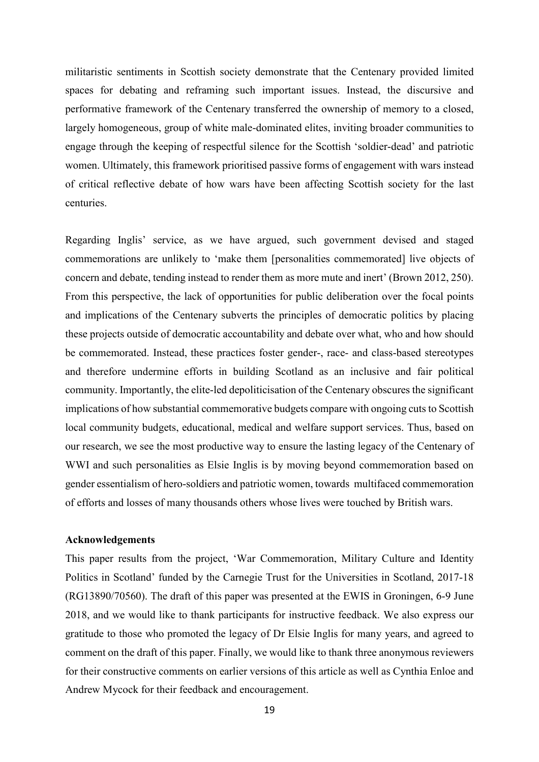militaristic sentiments in Scottish society demonstrate that the Centenary provided limited spaces for debating and reframing such important issues. Instead, the discursive and performative framework of the Centenary transferred the ownership of memory to a closed, largely homogeneous, group of white male-dominated elites, inviting broader communities to engage through the keeping of respectful silence for the Scottish 'soldier-dead' and patriotic women. Ultimately, this framework prioritised passive forms of engagement with wars instead of critical reflective debate of how wars have been affecting Scottish society for the last centuries.

Regarding Inglis' service, as we have argued, such government devised and staged commemorations are unlikely to 'make them [personalities commemorated] live objects of concern and debate, tending instead to render them as more mute and inert' (Brown 2012, 250). From this perspective, the lack of opportunities for public deliberation over the focal points and implications of the Centenary subverts the principles of democratic politics by placing these projects outside of democratic accountability and debate over what, who and how should be commemorated. Instead, these practices foster gender-, race- and class-based stereotypes and therefore undermine efforts in building Scotland as an inclusive and fair political community. Importantly, the elite-led depoliticisation of the Centenary obscures the significant implications of how substantial commemorative budgets compare with ongoing cuts to Scottish local community budgets, educational, medical and welfare support services. Thus, based on our research, we see the most productive way to ensure the lasting legacy of the Centenary of WWI and such personalities as Elsie Inglis is by moving beyond commemoration based on gender essentialism of hero-soldiers and patriotic women, towards multifaced commemoration of efforts and losses of many thousands others whose lives were touched by British wars.

# **Acknowledgements**

This paper results from the project, 'War Commemoration, Military Culture and Identity Politics in Scotland' funded by the Carnegie Trust for the Universities in Scotland, 2017-18 (RG13890/70560). The draft of this paper was presented at the EWIS in Groningen, 6-9 June 2018, and we would like to thank participants for instructive feedback. We also express our gratitude to those who promoted the legacy of Dr Elsie Inglis for many years, and agreed to comment on the draft of this paper. Finally, we would like to thank three anonymous reviewers for their constructive comments on earlier versions of this article as well as Cynthia Enloe and Andrew Mycock for their feedback and encouragement.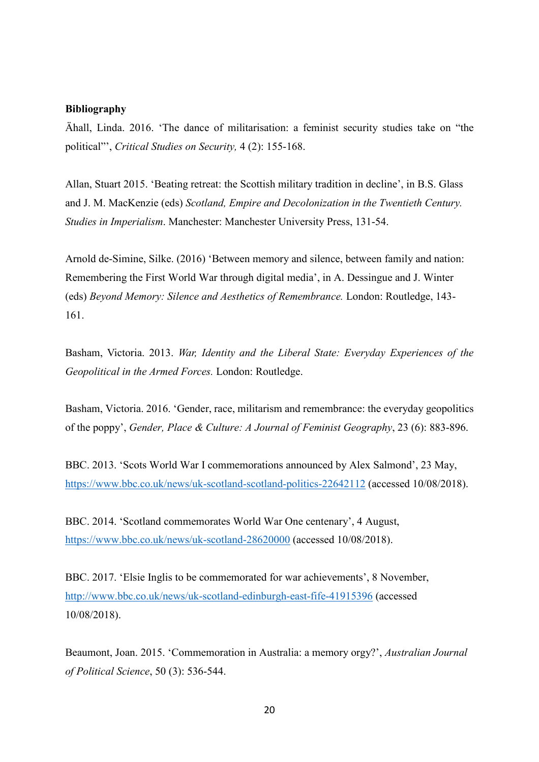## **Bibliography**

Ähall, Linda. 2016. 'The dance of militarisation: a feminist security studies take on "the political"', *Critical Studies on Security,* 4 (2): 155-168.

Allan, Stuart 2015. 'Beating retreat: the Scottish military tradition in decline', in B.S. Glass and J. M. MacKenzie (eds) *Scotland, Empire and Decolonization in the Twentieth Century. Studies in Imperialism*. Manchester: Manchester University Press, 131-54.

Arnold de-Simine, Silke. (2016) 'Between memory and silence, between family and nation: Remembering the First World War through digital media', in A. Dessingue and J. Winter (eds) *Beyond Memory: Silence and Aesthetics of Remembrance.* London: Routledge, 143- 161.

Basham, Victoria. 2013. *War, Identity and the Liberal State: Everyday Experiences of the Geopolitical in the Armed Forces.* London: Routledge.

Basham, Victoria. 2016. 'Gender, race, militarism and remembrance: the everyday geopolitics of the poppy', *Gender, Place & Culture: A Journal of Feminist Geography*, 23 (6): 883-896.

BBC. 2013. 'Scots World War I commemorations announced by Alex Salmond', 23 May, <https://www.bbc.co.uk/news/uk-scotland-scotland-politics-22642112> (accessed 10/08/2018).

BBC. 2014. 'Scotland commemorates World War One centenary', 4 August, <https://www.bbc.co.uk/news/uk-scotland-28620000> (accessed 10/08/2018).

BBC. 2017. 'Elsie Inglis to be commemorated for war achievements', 8 November, <http://www.bbc.co.uk/news/uk-scotland-edinburgh-east-fife-41915396> (accessed 10/08/2018).

Beaumont, Joan. 2015. 'Commemoration in Australia: a memory orgy?', *Australian Journal of Political Science*, 50 (3): 536-544.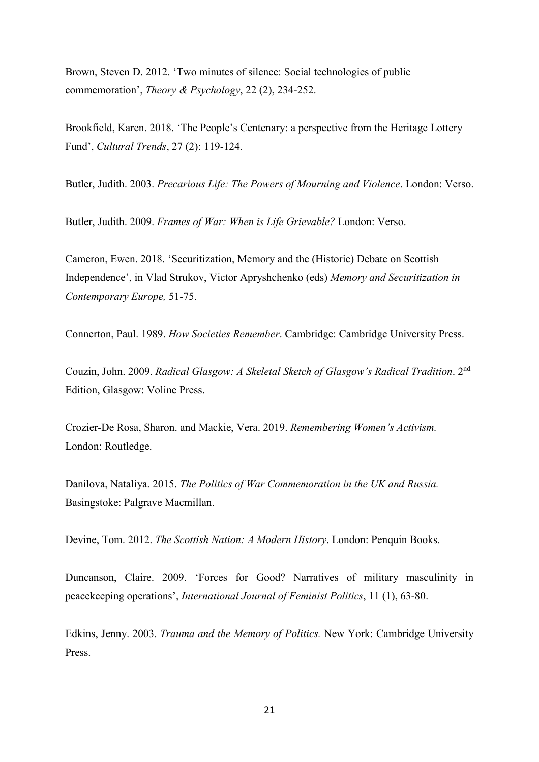Brown, Steven D. 2012. 'Two minutes of silence: Social technologies of public commemoration', *Theory & Psychology*, 22 (2), 234-252.

Brookfield, Karen. 2018. 'The People's Centenary: a perspective from the Heritage Lottery Fund', *Cultural Trends*, 27 (2): 119-124.

Butler, Judith. 2003. *Precarious Life: The Powers of Mourning and Violence*. London: Verso.

Butler, Judith. 2009. *Frames of War: When is Life Grievable?* London: Verso.

Cameron, Ewen. 2018. 'Securitization, Memory and the (Historic) Debate on Scottish Independence', in Vlad Strukov, Victor Apryshchenko (eds) *Memory and Securitization in Contemporary Europe,* 51-75.

Connerton, Paul. 1989. *How Societies Remember*. Cambridge: Cambridge University Press.

Couzin, John. 2009. *Radical Glasgow: A Skeletal Sketch of Glasgow's Radical Tradition*. 2nd Edition, Glasgow: Voline Press.

Crozier-De Rosa, Sharon. and Mackie, Vera. 2019. *Remembering Women's Activism.*  London: Routledge.

Danilova, Nataliya. 2015. *The Politics of War Commemoration in the UK and Russia.* Basingstoke: Palgrave Macmillan.

Devine, Tom. 2012. *The Scottish Nation: A Modern History*. London: Penquin Books.

Duncanson, Claire. 2009. 'Forces for Good? Narratives of military masculinity in peacekeeping operations', *International Journal of Feminist Politics*, 11 (1), 63-80.

Edkins, Jenny. 2003. *Trauma and the Memory of Politics.* New York: Cambridge University Press.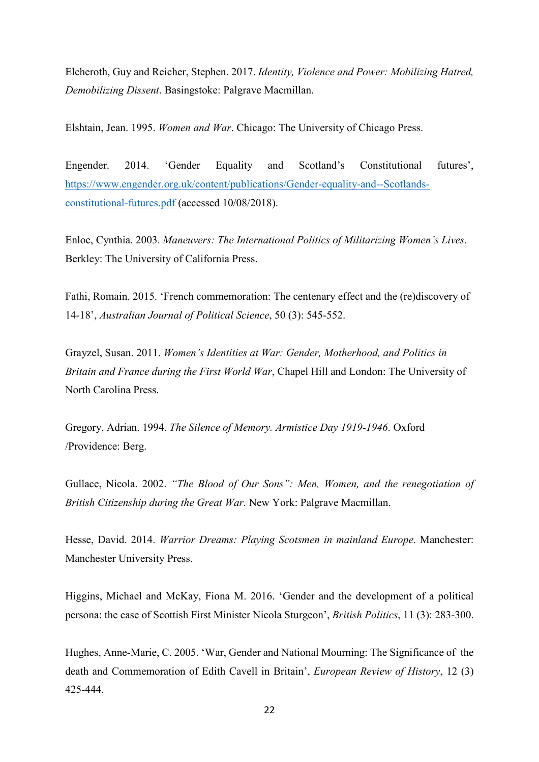Elcheroth, Guy and Reicher, Stephen. 2017. *Identity, Violence and Power: Mobilizing Hatred, Demobilizing Dissent*. Basingstoke: Palgrave Macmillan.

Elshtain, Jean. 1995. *Women and War*. Chicago: The University of Chicago Press.

Engender. 2014. 'Gender Equality and Scotland's Constitutional futures', [https://www.engender.org.uk/content/publications/Gender-equality-and--Scotlands](https://www.engender.org.uk/content/publications/Gender-equality-and--Scotlands-constitutional-futures.pdf)[constitutional-futures.pdf](https://www.engender.org.uk/content/publications/Gender-equality-and--Scotlands-constitutional-futures.pdf) (accessed 10/08/2018).

Enloe, Cynthia. 2003. *Maneuvers: The International Politics of Militarizing Women's Lives*. Berkley: The University of California Press.

Fathi, Romain. 2015. 'French commemoration: The centenary effect and the (re)discovery of 14-18', *Australian Journal of Political Science*, 50 (3): 545-552.

Grayzel, Susan. 2011. *Women's Identities at War: Gender, Motherhood, and Politics in Britain and France during the First World War*, Chapel Hill and London: The University of North Carolina Press.

Gregory, Adrian. 1994. *The Silence of Memory. Armistice Day 1919-1946*. Oxford /Providence: Berg.

Gullace, Nicola. 2002. *"The Blood of Our Sons": Men, Women, and the renegotiation of British Citizenship during the Great War.* New York: Palgrave Macmillan.

Hesse, David. 2014. *Warrior Dreams: Playing Scotsmen in mainland Europe*. Manchester: Manchester University Press.

Higgins, Michael and McKay, Fiona M. 2016. 'Gender and the development of a political persona: the case of Scottish First Minister Nicola Sturgeon', *British Politics*, 11 (3): 283-300.

Hughes, Anne-Marie, C. 2005. 'War, Gender and National Mourning: The Significance of the death and Commemoration of Edith Cavell in Britain', *European Review of History*, 12 (3) 425-444.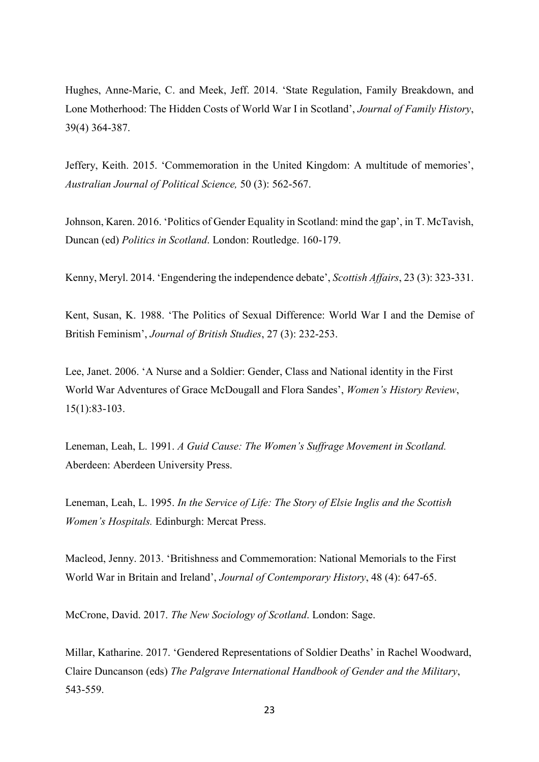Hughes, Anne-Marie, C. and Meek, Jeff. 2014. 'State Regulation, Family Breakdown, and Lone Motherhood: The Hidden Costs of World War I in Scotland', *Journal of Family History*, 39(4) 364-387.

Jeffery, Keith. 2015. 'Commemoration in the United Kingdom: A multitude of memories', *Australian Journal of Political Science,* 50 (3): 562-567.

Johnson, Karen. 2016. 'Politics of Gender Equality in Scotland: mind the gap', in T. McTavish, Duncan (ed) *Politics in Scotland*. London: Routledge. 160-179.

Kenny, Meryl. 2014. 'Engendering the independence debate', *Scottish Affairs*, 23 (3): 323-331.

Kent, Susan, K. 1988. 'The Politics of Sexual Difference: World War I and the Demise of British Feminism', *Journal of British Studies*, 27 (3): 232-253.

Lee, Janet. 2006. 'A Nurse and a Soldier: Gender, Class and National identity in the First World War Adventures of Grace McDougall and Flora Sandes', *Women's History Review*, 15(1):83-103.

Leneman, Leah, L. 1991. *A Guid Cause: The Women's Suffrage Movement in Scotland.*  Aberdeen: Aberdeen University Press.

Leneman, Leah, L. 1995. *In the Service of Life: The Story of Elsie Inglis and the Scottish Women's Hospitals.* Edinburgh: Mercat Press.

Macleod, Jenny. 2013. 'Britishness and Commemoration: National Memorials to the First World War in Britain and Ireland', *Journal of Contemporary History*, 48 (4): 647-65.

McCrone, David. 2017. *The New Sociology of Scotland*. London: Sage.

Millar, Katharine. 2017. 'Gendered Representations of Soldier Deaths' in Rachel Woodward, Claire Duncanson (eds) *The Palgrave International Handbook of Gender and the Military*, 543-559.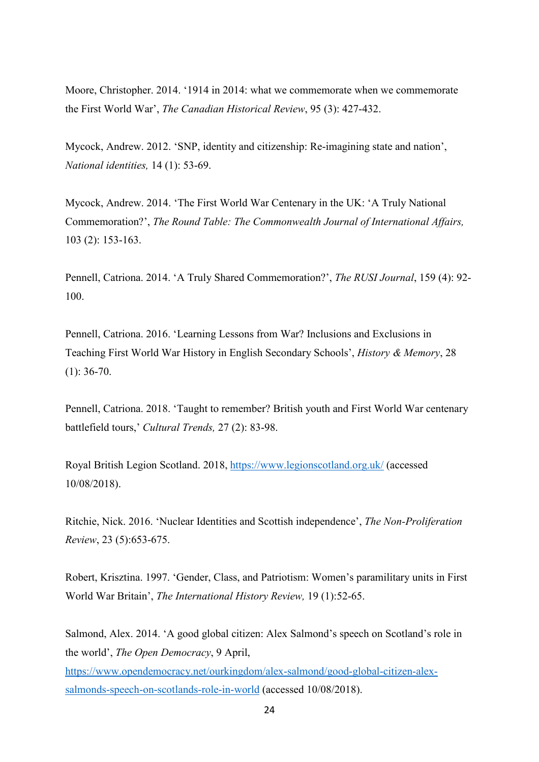Moore, Christopher. 2014. '1914 in 2014: what we commemorate when we commemorate the First World War', *The Canadian Historical Review*, 95 (3): 427-432.

Mycock, Andrew. 2012. 'SNP, identity and citizenship: Re-imagining state and nation', *National identities,* 14 (1): 53-69.

Mycock, Andrew. 2014. 'The First World War Centenary in the UK: 'A Truly National Commemoration?', *The Round Table: The Commonwealth Journal of International Affairs,*  103 (2): 153-163.

Pennell, Catriona. 2014. 'A Truly Shared Commemoration?', *The RUSI Journal*, 159 (4): 92- 100.

Pennell, Catriona. 2016. 'Learning Lessons from War? Inclusions and Exclusions in Teaching First World War History in English Secondary Schools', *History & Memory*, 28  $(1): 36-70.$ 

Pennell, Catriona. 2018. 'Taught to remember? British youth and First World War centenary battlefield tours,' *Cultural Trends,* 27 (2): 83-98.

Royal British Legion Scotland. 2018, <https://www.legionscotland.org.uk/> (accessed 10/08/2018).

Ritchie, Nick. 2016. 'Nuclear Identities and Scottish independence', *The Non-Proliferation Review*, 23 (5):653-675.

Robert, Krisztina. 1997. 'Gender, Class, and Patriotism: Women's paramilitary units in First World War Britain', *The International History Review,* 19 (1):52-65.

Salmond, Alex. 2014. 'A good global citizen: Alex Salmond's speech on Scotland's role in the world', *The Open Democracy*, 9 April, [https://www.opendemocracy.net/ourkingdom/alex-salmond/good-global-citizen-alex](https://www.opendemocracy.net/ourkingdom/alex-salmond/good-global-citizen-alex-salmonds-speech-on-scotlands-role-in-world)[salmonds-speech-on-scotlands-role-in-world](https://www.opendemocracy.net/ourkingdom/alex-salmond/good-global-citizen-alex-salmonds-speech-on-scotlands-role-in-world) (accessed 10/08/2018).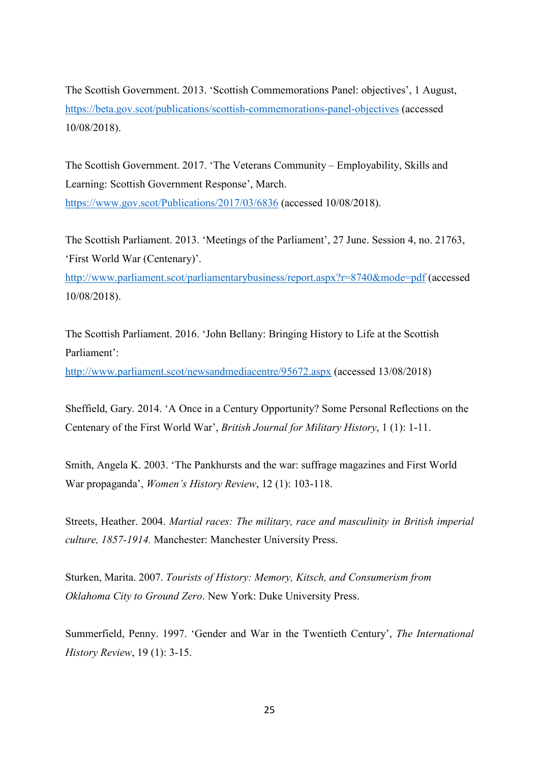The Scottish Government. 2013. 'Scottish Commemorations Panel: objectives', 1 August, <https://beta.gov.scot/publications/scottish-commemorations-panel-objectives> (accessed 10/08/2018).

The Scottish Government. 2017. 'The Veterans Community – Employability, Skills and Learning: Scottish Government Response', March. <https://www.gov.scot/Publications/2017/03/6836> (accessed 10/08/2018).

The Scottish Parliament. 2013. 'Meetings of the Parliament', 27 June. Session 4, no. 21763, 'First World War (Centenary)'.

<http://www.parliament.scot/parliamentarybusiness/report.aspx?r=8740&mode=pdf> (accessed 10/08/2018).

The Scottish Parliament. 2016. 'John Bellany: Bringing History to Life at the Scottish Parliament':

<http://www.parliament.scot/newsandmediacentre/95672.aspx> (accessed 13/08/2018)

Sheffield, Gary. 2014. 'A Once in a Century Opportunity? Some Personal Reflections on the Centenary of the First World War', *British Journal for Military History*, 1 (1): 1-11.

Smith, Angela K. 2003. 'The Pankhursts and the war: suffrage magazines and First World War propaganda', *Women's History Review*, 12 (1): 103-118.

Streets, Heather. 2004. *Martial races: The military, race and masculinity in British imperial culture, 1857-1914.* Manchester: Manchester University Press.

Sturken, Marita. 2007. *Tourists of History: Memory, Kitsch, and Consumerism from Oklahoma City to Ground Zero*. New York: Duke University Press.

Summerfield, Penny. 1997. 'Gender and War in the Twentieth Century', *The International History Review*, 19 (1): 3-15.